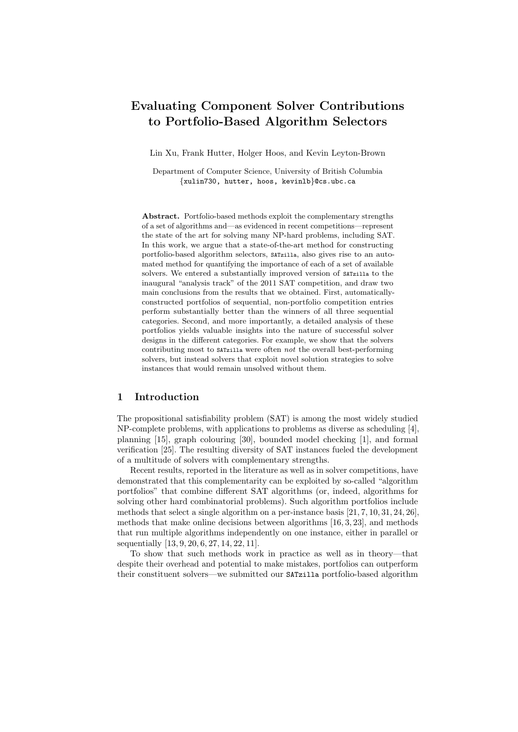# Evaluating Component Solver Contributions to Portfolio-Based Algorithm Selectors

Lin Xu, Frank Hutter, Holger Hoos, and Kevin Leyton-Brown

Department of Computer Science, University of British Columbia {xulin730, hutter, hoos, kevinlb}@cs.ubc.ca

Abstract. Portfolio-based methods exploit the complementary strengths of a set of algorithms and—as evidenced in recent competitions—represent the state of the art for solving many NP-hard problems, including SAT. In this work, we argue that a state-of-the-art method for constructing portfolio-based algorithm selectors, SATzilla, also gives rise to an automated method for quantifying the importance of each of a set of available solvers. We entered a substantially improved version of SATzilla to the inaugural "analysis track" of the 2011 SAT competition, and draw two main conclusions from the results that we obtained. First, automaticallyconstructed portfolios of sequential, non-portfolio competition entries perform substantially better than the winners of all three sequential categories. Second, and more importantly, a detailed analysis of these portfolios yields valuable insights into the nature of successful solver designs in the different categories. For example, we show that the solvers contributing most to satisfy the overall best-performing solvers, but instead solvers that exploit novel solution strategies to solve instances that would remain unsolved without them.

### 1 Introduction

The propositional satisfiability problem (SAT) is among the most widely studied NP-complete problems, with applications to problems as diverse as scheduling [4], planning [15], graph colouring [30], bounded model checking [1], and formal verification [25]. The resulting diversity of SAT instances fueled the development of a multitude of solvers with complementary strengths.

Recent results, reported in the literature as well as in solver competitions, have demonstrated that this complementarity can be exploited by so-called "algorithm portfolios" that combine different SAT algorithms (or, indeed, algorithms for solving other hard combinatorial problems). Such algorithm portfolios include methods that select a single algorithm on a per-instance basis [21, 7, 10, 31, 24, 26], methods that make online decisions between algorithms [16, 3, 23], and methods that run multiple algorithms independently on one instance, either in parallel or sequentially [13, 9, 20, 6, 27, 14, 22, 11].

To show that such methods work in practice as well as in theory—that despite their overhead and potential to make mistakes, portfolios can outperform their constituent solvers—we submitted our SATzilla portfolio-based algorithm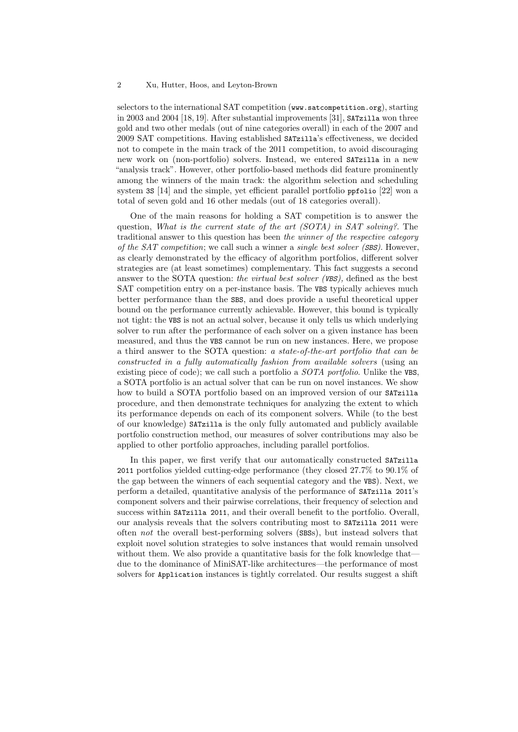selectors to the international SAT competition (www.satcompetition.org), starting in 2003 and 2004 [18, 19]. After substantial improvements [31], SATzilla won three gold and two other medals (out of nine categories overall) in each of the 2007 and 2009 SAT competitions. Having established SATzilla's effectiveness, we decided not to compete in the main track of the 2011 competition, to avoid discouraging new work on (non-portfolio) solvers. Instead, we entered SATzilla in a new "analysis track". However, other portfolio-based methods did feature prominently among the winners of the main track: the algorithm selection and scheduling system 3S [14] and the simple, yet efficient parallel portfolio ppfolio [22] won a total of seven gold and 16 other medals (out of 18 categories overall).

One of the main reasons for holding a SAT competition is to answer the question, What is the current state of the art  $(SOTA)$  in SAT solving?. The traditional answer to this question has been the winner of the respective category of the SAT competition; we call such a winner a single best solver  $(SBS)$ . However, as clearly demonstrated by the efficacy of algorithm portfolios, different solver strategies are (at least sometimes) complementary. This fact suggests a second answer to the SOTA question: the virtual best solver (VBS), defined as the best SAT competition entry on a per-instance basis. The VBS typically achieves much better performance than the SBS, and does provide a useful theoretical upper bound on the performance currently achievable. However, this bound is typically not tight: the VBS is not an actual solver, because it only tells us which underlying solver to run after the performance of each solver on a given instance has been measured, and thus the VBS cannot be run on new instances. Here, we propose a third answer to the SOTA question: a state-of-the-art portfolio that can be constructed in a fully automatically fashion from available solvers (using an existing piece of code); we call such a portfolio a  $SOTA$  portfolio. Unlike the VBS, a SOTA portfolio is an actual solver that can be run on novel instances. We show how to build a SOTA portfolio based on an improved version of our SATzilla procedure, and then demonstrate techniques for analyzing the extent to which its performance depends on each of its component solvers. While (to the best of our knowledge) SATzilla is the only fully automated and publicly available portfolio construction method, our measures of solver contributions may also be applied to other portfolio approaches, including parallel portfolios.

In this paper, we first verify that our automatically constructed SATzilla 2011 portfolios yielded cutting-edge performance (they closed 27.7% to 90.1% of the gap between the winners of each sequential category and the VBS). Next, we perform a detailed, quantitative analysis of the performance of SATzilla 2011's component solvers and their pairwise correlations, their frequency of selection and success within SATzilla 2011, and their overall benefit to the portfolio. Overall, our analysis reveals that the solvers contributing most to SATzilla 2011 were often not the overall best-performing solvers (SBSs), but instead solvers that exploit novel solution strategies to solve instances that would remain unsolved without them. We also provide a quantitative basis for the folk knowledge thatdue to the dominance of MiniSAT-like architectures—the performance of most solvers for Application instances is tightly correlated. Our results suggest a shift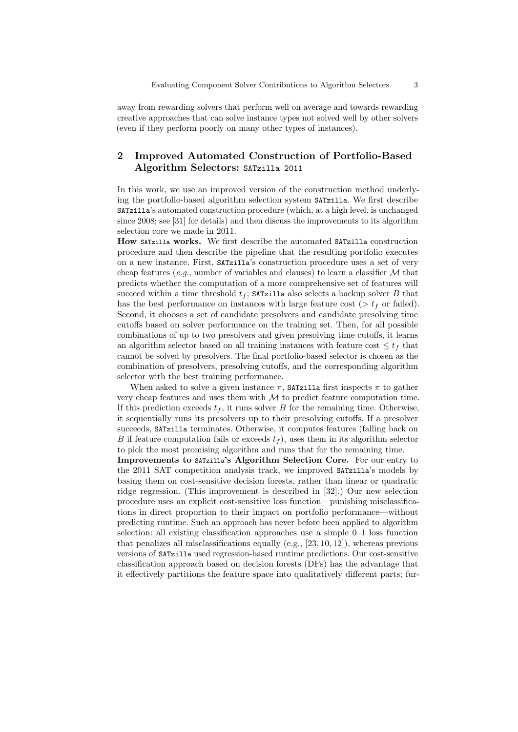away from rewarding solvers that perform well on average and towards rewarding creative approaches that can solve instance types not solved well by other solvers (even if they perform poorly on many other types of instances).

# 2 Improved Automated Construction of Portfolio-Based Algorithm Selectors: SATzilla 2011

In this work, we use an improved version of the construction method underlying the portfolio-based algorithm selection system SATzilla. We first describe SATzilla's automated construction procedure (which, at a high level, is unchanged since 2008; see [31] for details) and then discuss the improvements to its algorithm selection core we made in 2011.

How SATzilla works. We first describe the automated SATzilla construction procedure and then describe the pipeline that the resulting portfolio executes on a new instance. First, SATzilla's construction procedure uses a set of very cheap features (e.g., number of variables and clauses) to learn a classifier  $\mathcal M$  that predicts whether the computation of a more comprehensive set of features will succeed within a time threshold  $t_f$ ; SATzilla also selects a backup solver B that has the best performance on instances with large feature cost ( $>t_f$  or failed). Second, it chooses a set of candidate presolvers and candidate presolving time cutoffs based on solver performance on the training set. Then, for all possible combinations of up to two presolvers and given presolving time cutoffs, it learns an algorithm selector based on all training instances with feature cost  $\leq t_f$  that cannot be solved by presolvers. The final portfolio-based selector is chosen as the combination of presolvers, presolving cutoffs, and the corresponding algorithm selector with the best training performance.

When asked to solve a given instance  $\pi$ , SATzilla first inspects  $\pi$  to gather very cheap features and uses them with  $\mathcal M$  to predict feature computation time. If this prediction exceeds  $t_f$ , it runs solver B for the remaining time. Otherwise, it sequentially runs its presolvers up to their presolving cutoffs. If a presolver succeeds, SATzilla terminates. Otherwise, it computes features (falling back on B if feature computation fails or exceeds  $t_f$ , uses them in its algorithm selector to pick the most promising algorithm and runs that for the remaining time.

Improvements to SATzilla's Algorithm Selection Core. For our entry to the 2011 SAT competition analysis track, we improved SATzilla's models by basing them on cost-sensitive decision forests, rather than linear or quadratic ridge regression. (This improvement is described in [32].) Our new selection procedure uses an explicit cost-sensitive loss function—punishing misclassifications in direct proportion to their impact on portfolio performance—without predicting runtime. Such an approach has never before been applied to algorithm selection: all existing classification approaches use a simple 0–1 loss function that penalizes all misclassifications equally (e.g., [23, 10, 12]), whereas previous versions of SATzilla used regression-based runtime predictions. Our cost-sensitive classification approach based on decision forests (DFs) has the advantage that it effectively partitions the feature space into qualitatively different parts; fur-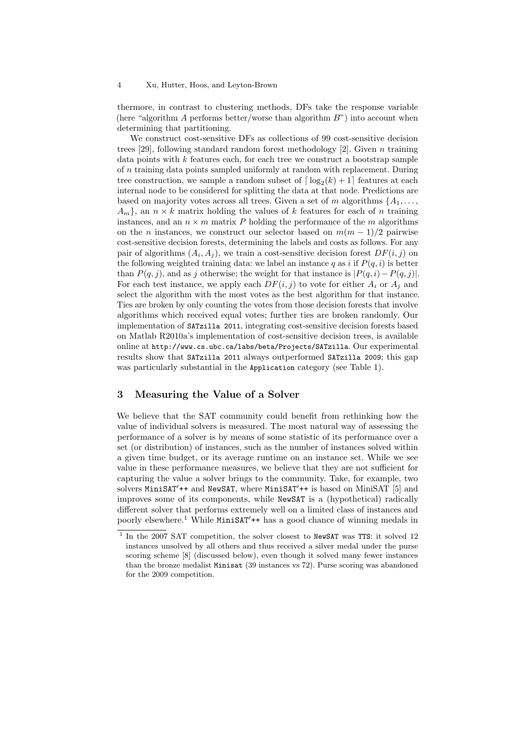thermore, in contrast to clustering methods, DFs take the response variable (here "algorithm  $\ddot{A}$  performs better/worse than algorithm  $B$ ") into account when determining that partitioning.

We construct cost-sensitive DFs as collections of 99 cost-sensitive decision trees [29], following standard random forest methodology [2]. Given n training data points with  $k$  features each, for each tree we construct a bootstrap sample of n training data points sampled uniformly at random with replacement. During tree construction, we sample a random subset of  $\lceil \log_2(k) + 1 \rceil$  features at each internal node to be considered for splitting the data at that node. Predictions are based on majority votes across all trees. Given a set of m algorithms  $\{A_1, \ldots, A_n\}$  $A_m$ , an  $n \times k$  matrix holding the values of k features for each of n training instances, and an  $n \times m$  matrix P holding the performance of the m algorithms on the *n* instances, we construct our selector based on  $m(m-1)/2$  pairwise cost-sensitive decision forests, determining the labels and costs as follows. For any pair of algorithms  $(A_i, A_j)$ , we train a cost-sensitive decision forest  $DF(i, j)$  on the following weighted training data: we label an instance q as i if  $P(q, i)$  is better than  $P(q, j)$ , and as j otherwise; the weight for that instance is  $|P(q, i) - P(q, j)|$ . For each test instance, we apply each  $DF(i, j)$  to vote for either  $A_i$  or  $A_j$  and select the algorithm with the most votes as the best algorithm for that instance. Ties are broken by only counting the votes from those decision forests that involve algorithms which received equal votes; further ties are broken randomly. Our implementation of SATzilla 2011, integrating cost-sensitive decision forests based on Matlab R2010a's implementation of cost-sensitive decision trees, is available online at http://www.cs.ubc.ca/labs/beta/Projects/SATzilla. Our experimental results show that SATzilla 2011 always outperformed SATzilla 2009; this gap was particularly substantial in the Application category (see Table 1).

# 3 Measuring the Value of a Solver

We believe that the SAT community could benefit from rethinking how the value of individual solvers is measured. The most natural way of assessing the performance of a solver is by means of some statistic of its performance over a set (or distribution) of instances, such as the number of instances solved within a given time budget, or its average runtime on an instance set. While we see value in these performance measures, we believe that they are not sufficient for capturing the value a solver brings to the community. Take, for example, two solvers MiniSAT<sup>'++</sup> and NewSAT, where MiniSAT<sup>'++</sup> is based on MiniSAT [5] and improves some of its components, while NewSAT is a (hypothetical) radically different solver that performs extremely well on a limited class of instances and poorly elsewhere.<sup>1</sup> While MiniSAT<sup> $\prime$ ++</sup> has a good chance of winning medals in

<sup>&</sup>lt;sup>1</sup> In the 2007 SAT competition, the solver closest to NewSAT was TTS: it solved 12 instances unsolved by all others and thus received a silver medal under the purse scoring scheme [8] (discussed below), even though it solved many fewer instances than the bronze medalist Minisat (39 instances vs 72). Purse scoring was abandoned for the 2009 competition.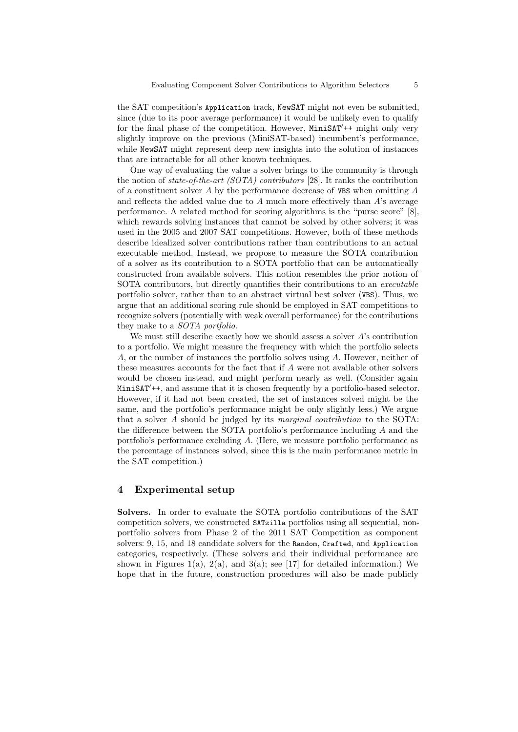the SAT competition's Application track, NewSAT might not even be submitted, since (due to its poor average performance) it would be unlikely even to qualify for the final phase of the competition. However,  $MinISAT'++$  might only very slightly improve on the previous (MiniSAT-based) incumbent's performance, while NewSAT might represent deep new insights into the solution of instances that are intractable for all other known techniques.

One way of evaluating the value a solver brings to the community is through the notion of state-of-the-art (SOTA) contributors [28]. It ranks the contribution of a constituent solver  $A$  by the performance decrease of VBS when omitting  $A$ and reflects the added value due to  $A$  much more effectively than  $A$ 's average performance. A related method for scoring algorithms is the "purse score" [8], which rewards solving instances that cannot be solved by other solvers; it was used in the 2005 and 2007 SAT competitions. However, both of these methods describe idealized solver contributions rather than contributions to an actual executable method. Instead, we propose to measure the SOTA contribution of a solver as its contribution to a SOTA portfolio that can be automatically constructed from available solvers. This notion resembles the prior notion of SOTA contributors, but directly quantifies their contributions to an executable portfolio solver, rather than to an abstract virtual best solver (VBS). Thus, we argue that an additional scoring rule should be employed in SAT competitions to recognize solvers (potentially with weak overall performance) for the contributions they make to a SOTA portfolio.

We must still describe exactly how we should assess a solver  $A$ 's contribution to a portfolio. We might measure the frequency with which the portfolio selects A, or the number of instances the portfolio solves using A. However, neither of these measures accounts for the fact that if A were not available other solvers would be chosen instead, and might perform nearly as well. (Consider again  $MiniSAT'++$ , and assume that it is chosen frequently by a portfolio-based selector. However, if it had not been created, the set of instances solved might be the same, and the portfolio's performance might be only slightly less.) We argue that a solver A should be judged by its marginal contribution to the SOTA: the difference between the SOTA portfolio's performance including A and the portfolio's performance excluding A. (Here, we measure portfolio performance as the percentage of instances solved, since this is the main performance metric in the SAT competition.)

## 4 Experimental setup

Solvers. In order to evaluate the SOTA portfolio contributions of the SAT competition solvers, we constructed SATzilla portfolios using all sequential, nonportfolio solvers from Phase 2 of the 2011 SAT Competition as component solvers: 9, 15, and 18 candidate solvers for the Random, Crafted, and Application categories, respectively. (These solvers and their individual performance are shown in Figures 1(a), 2(a), and 3(a); see  $[17]$  for detailed information.) We hope that in the future, construction procedures will also be made publicly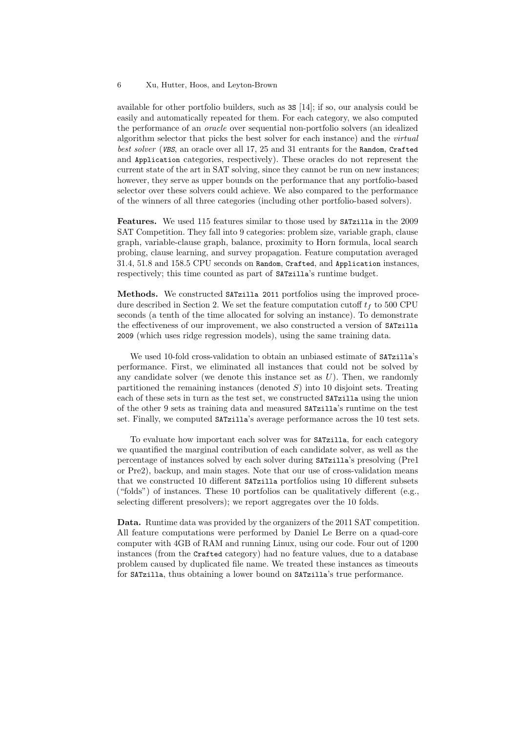available for other portfolio builders, such as 3S [14]; if so, our analysis could be easily and automatically repeated for them. For each category, we also computed the performance of an oracle over sequential non-portfolio solvers (an idealized algorithm selector that picks the best solver for each instance) and the virtual best solver (VBS, an oracle over all 17, 25 and 31 entrants for the Random, Crafted and Application categories, respectively). These oracles do not represent the current state of the art in SAT solving, since they cannot be run on new instances; however, they serve as upper bounds on the performance that any portfolio-based selector over these solvers could achieve. We also compared to the performance of the winners of all three categories (including other portfolio-based solvers).

Features. We used 115 features similar to those used by SATzilla in the 2009 SAT Competition. They fall into 9 categories: problem size, variable graph, clause graph, variable-clause graph, balance, proximity to Horn formula, local search probing, clause learning, and survey propagation. Feature computation averaged 31.4, 51.8 and 158.5 CPU seconds on Random, Crafted, and Application instances, respectively; this time counted as part of SATzilla's runtime budget.

Methods. We constructed SATzilla 2011 portfolios using the improved procedure described in Section 2. We set the feature computation cutoff  $t_f$  to 500 CPU seconds (a tenth of the time allocated for solving an instance). To demonstrate the effectiveness of our improvement, we also constructed a version of SATzilla 2009 (which uses ridge regression models), using the same training data.

We used 10-fold cross-validation to obtain an unbiased estimate of SATzilla's performance. First, we eliminated all instances that could not be solved by any candidate solver (we denote this instance set as  $U$ ). Then, we randomly partitioned the remaining instances (denoted  $S$ ) into 10 disjoint sets. Treating each of these sets in turn as the test set, we constructed SATzilla using the union of the other 9 sets as training data and measured SATzilla's runtime on the test set. Finally, we computed SATzilla's average performance across the 10 test sets.

To evaluate how important each solver was for SATzilla, for each category we quantified the marginal contribution of each candidate solver, as well as the percentage of instances solved by each solver during SATzilla's presolving (Pre1 or Pre2), backup, and main stages. Note that our use of cross-validation means that we constructed 10 different SATzilla portfolios using 10 different subsets ("folds") of instances. These 10 portfolios can be qualitatively different (e.g., selecting different presolvers); we report aggregates over the 10 folds.

Data. Runtime data was provided by the organizers of the 2011 SAT competition. All feature computations were performed by Daniel Le Berre on a quad-core computer with 4GB of RAM and running Linux, using our code. Four out of 1200 instances (from the Crafted category) had no feature values, due to a database problem caused by duplicated file name. We treated these instances as timeouts for SATzilla, thus obtaining a lower bound on SATzilla's true performance.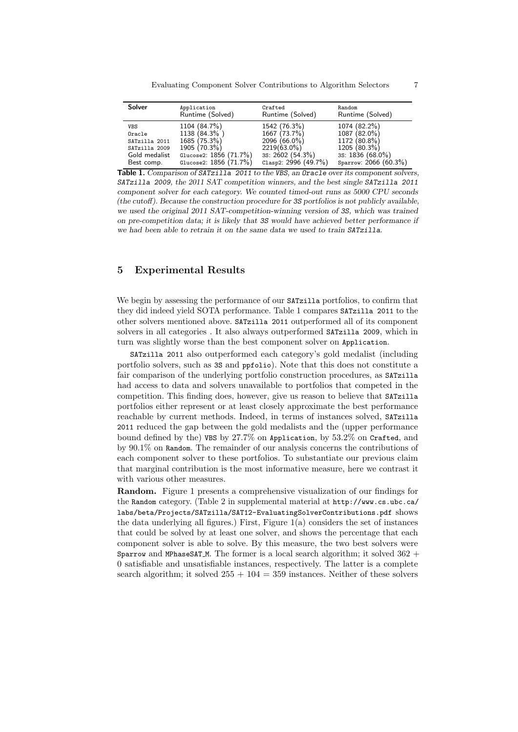Evaluating Component Solver Contributions to Algorithm Selectors 7

| Solver        | Application            | Crafted              | Random                |
|---------------|------------------------|----------------------|-----------------------|
|               | Runtime (Solved)       | Runtime (Solved)     | Runtime (Solved)      |
| VBS           | 1104 (84.7%)           | 1542 (76.3%)         | 1074 (82.2%)          |
| Oracle        | 1138 (84.3%)           | 1667 (73.7%)         | 1087 (82.0%)          |
| SATzilla 2011 | 1685 (75.3%)           | $2096(66.0\%)$       | 1172 (80.8%)          |
| SATzilla 2009 | 1905 (70.3%)           | $2219(63.0\%)$       | 1205(80.3%)           |
| Gold medalist | Glucose2: 1856 (71.7%) | 3S: 2602 (54.3%)     | $3S: 1836 (68.0\%)$   |
| Best comp.    | Glucose2: 1856 (71.7%) | Clasp2: 2996 (49.7%) | Sparrow: 2066 (60.3%) |

Table 1. Comparison of SATzilla 2011 to the VBS, an Oracle over its component solvers, SATzilla 2009, the 2011 SAT competition winners, and the best single SATzilla 2011 component solver for each category. We counted timed-out runs as 5000 CPU seconds (the cutoff). Because the construction procedure for 3S portfolios is not publicly available, we used the original 2011 SAT-competition-winning version of 3S, which was trained on pre-competition data; it is likely that 3S would have achieved better performance if we had been able to retrain it on the same data we used to train SATzilla.

# 5 Experimental Results

We begin by assessing the performance of our **SATzilla** portfolios, to confirm that they did indeed yield SOTA performance. Table 1 compares SATzilla 2011 to the other solvers mentioned above. SATzilla 2011 outperformed all of its component solvers in all categories . It also always outperformed SATzilla 2009, which in turn was slightly worse than the best component solver on Application.

SATzilla 2011 also outperformed each category's gold medalist (including portfolio solvers, such as 3S and ppfolio). Note that this does not constitute a fair comparison of the underlying portfolio construction procedures, as SATzilla had access to data and solvers unavailable to portfolios that competed in the competition. This finding does, however, give us reason to believe that SATzilla portfolios either represent or at least closely approximate the best performance reachable by current methods. Indeed, in terms of instances solved, SATzilla 2011 reduced the gap between the gold medalists and the (upper performance bound defined by the) VBS by 27.7% on Application, by 53.2% on Crafted, and by 90.1% on Random. The remainder of our analysis concerns the contributions of each component solver to these portfolios. To substantiate our previous claim that marginal contribution is the most informative measure, here we contrast it with various other measures.

Random. Figure 1 presents a comprehensive visualization of our findings for the Random category. (Table 2 in supplemental material at http://www.cs.ubc.ca/ labs/beta/Projects/SATzilla/SAT12-EvaluatingSolverContributions.pdf shows the data underlying all figures.) First, Figure 1(a) considers the set of instances that could be solved by at least one solver, and shows the percentage that each component solver is able to solve. By this measure, the two best solvers were Sparrow and MPhaseSAT\_M. The former is a local search algorithm; it solved  $362 +$ 0 satisfiable and unsatisfiable instances, respectively. The latter is a complete search algorithm; it solved  $255 + 104 = 359$  instances. Neither of these solvers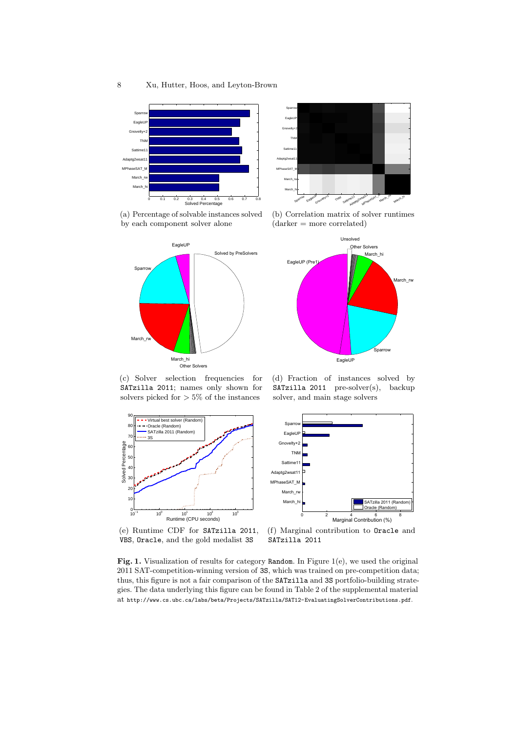

(a) Percentage of solvable instances solved by each component solver alone



Sparrow E EagleUP Gnovelty+2 TNM Sattime11 MPhase M<sup>Sid</sup> March\_rw March\_hi Sparrow EagleUP Gnovelty+2 TNM Sattime11 Adaptg2wsat11 MPhaseSAT\_M March\_rw-March\_hi

(b) Correlation matrix of solver runtimes (darker = more correlated)



(c) Solver selection frequencies for SATzilla 2011; names only shown for solvers picked for  $> 5\%$  of the instances

(d) Fraction of instances solved by SATzilla 2011 pre-solver(s), backup solver, and main stage solvers



0 2 4 6 8 Marginal Contribution (%) March\_l March MPhaseSAT\_I Adaptg2wsat1 Sattime TNM Gnovelty+ EagleUP SATzilla 2011 (Rando Oracle (Random)

(e) Runtime CDF for SATzilla 2011, VBS, Oracle, and the gold medalist 3S

(f) Marginal contribution to Oracle and SATzilla 2011

Fig. 1. Visualization of results for category Random. In Figure 1(e), we used the original 2011 SAT-competition-winning version of 3S, which was trained on pre-competition data; thus, this figure is not a fair comparison of the SATzilla and 3S portfolio-building strategies. The data underlying this figure can be found in Table 2 of the supplemental material at http://www.cs.ubc.ca/labs/beta/Projects/SATzilla/SAT12-EvaluatingSolverContributions.pdf.

 $Sp$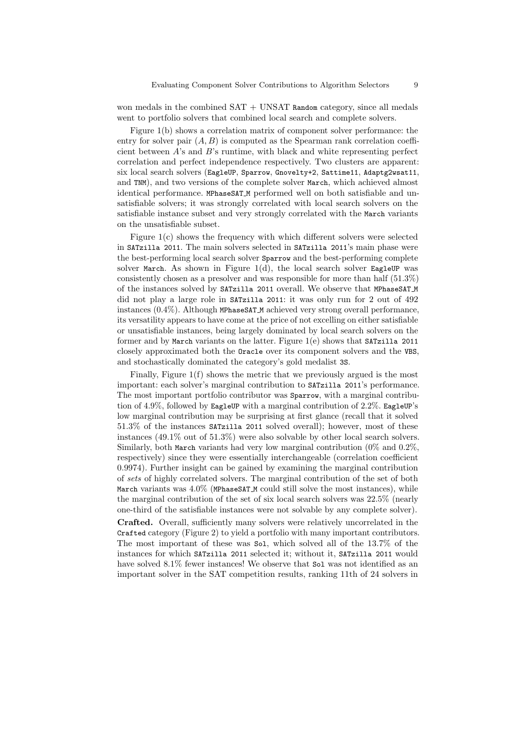won medals in the combined  $SAT + UNSAT$  Random category, since all medals went to portfolio solvers that combined local search and complete solvers.

Figure 1(b) shows a correlation matrix of component solver performance: the entry for solver pair  $(A, B)$  is computed as the Spearman rank correlation coefficient between  $A$ 's and  $B$ 's runtime, with black and white representing perfect correlation and perfect independence respectively. Two clusters are apparent: six local search solvers (EagleUP, Sparrow, Gnovelty+2, Sattime11, Adaptg2wsat11, and TNM), and two versions of the complete solver March, which achieved almost identical performance. MPhaseSAT M performed well on both satisfiable and unsatisfiable solvers; it was strongly correlated with local search solvers on the satisfiable instance subset and very strongly correlated with the March variants on the unsatisfiable subset.

Figure 1(c) shows the frequency with which different solvers were selected in SATzilla 2011. The main solvers selected in SATzilla 2011's main phase were the best-performing local search solver Sparrow and the best-performing complete solver March. As shown in Figure  $1(d)$ , the local search solver EagleUP was consistently chosen as a presolver and was responsible for more than half (51.3%) of the instances solved by SATzilla 2011 overall. We observe that MPhaseSAT M did not play a large role in SATzilla 2011: it was only run for 2 out of 492 instances (0.4%). Although MPhaseSAT M achieved very strong overall performance, its versatility appears to have come at the price of not excelling on either satisfiable or unsatisfiable instances, being largely dominated by local search solvers on the former and by March variants on the latter. Figure  $1(e)$  shows that SATzilla 2011 closely approximated both the Oracle over its component solvers and the VBS, and stochastically dominated the category's gold medalist 3S.

Finally, Figure 1(f) shows the metric that we previously argued is the most important: each solver's marginal contribution to SATzilla 2011's performance. The most important portfolio contributor was Sparrow, with a marginal contribution of  $4.9\%$ , followed by EagleUP with a marginal contribution of  $2.2\%$ . EagleUP's low marginal contribution may be surprising at first glance (recall that it solved 51.3% of the instances SATzilla 2011 solved overall); however, most of these instances (49.1% out of 51.3%) were also solvable by other local search solvers. Similarly, both March variants had very low marginal contribution (0% and 0.2%, respectively) since they were essentially interchangeable (correlation coefficient 0.9974). Further insight can be gained by examining the marginal contribution of sets of highly correlated solvers. The marginal contribution of the set of both March variants was  $4.0\%$  (MPhaseSAT M could still solve the most instances), while the marginal contribution of the set of six local search solvers was 22.5% (nearly one-third of the satisfiable instances were not solvable by any complete solver).

Crafted. Overall, sufficiently many solvers were relatively uncorrelated in the Crafted category (Figure 2) to yield a portfolio with many important contributors. The most important of these was Sol, which solved all of the 13.7% of the instances for which SATzilla 2011 selected it; without it, SATzilla 2011 would have solved 8.1% fewer instances! We observe that  $\texttt{Sol}$  was not identified as an important solver in the SAT competition results, ranking 11th of 24 solvers in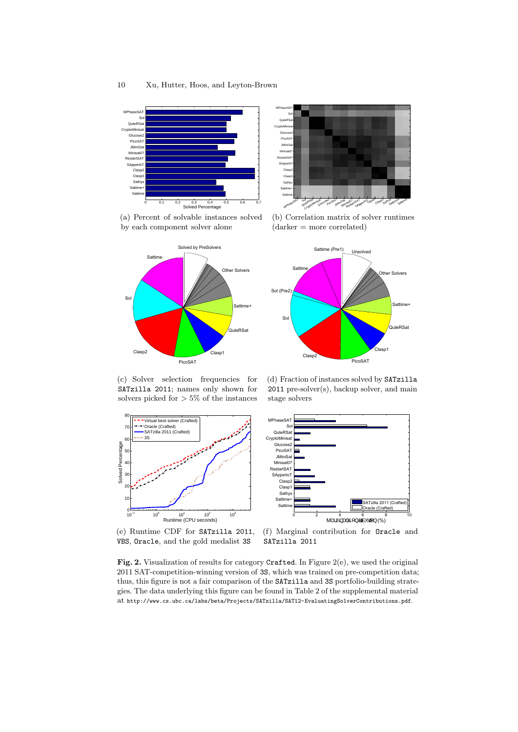

MPhaseSAT Sol RSat Indiana PicoSAT Mini JMiniSat <sub>Satti</sub>me Clasp<sup>2</sup>Clasp<sup>2</sup>Clasp1SathySattime+ Sattime MPhaseSAT Sol QuteRSat CryptoMinisat Glucose2<sup>+</sup> PicoSAT<sub>E</sub> JMiniSat Minisat07 RestartSAT SApperloT<sub>1</sub> Clasp2 Clasp1<sup>1</sup> Sathys Sattime+ Sattime **H** 

(a) Percent of solvable instances solved by each component solver alone



(b) Correlation matrix of solver runtimes  $(darker = more correlated)$ 



(c) Solver selection frequencies for SATzilla 2011; names only shown for solvers picked for  $> 5\%$  of the instances

(d) Fraction of instances solved by SATzilla 2011 pre-solver(s), backup solver, and main stage solvers



(e) Runtime CDF for SATzilla 2011, VBS, Oracle, and the gold medalist 3S



(f) Marginal contribution for Oracle and SATzilla 2011

Fig. 2. Visualization of results for category Crafted. In Figure 2(e), we used the original 2011 SAT-competition-winning version of 3S, which was trained on pre-competition data; thus, this figure is not a fair comparison of the SATzilla and 3S portfolio-building strategies. The data underlying this figure can be found in Table 2 of the supplemental material at http://www.cs.ubc.ca/labs/beta/Projects/SATzilla/SAT12-EvaluatingSolverContributions.pdf.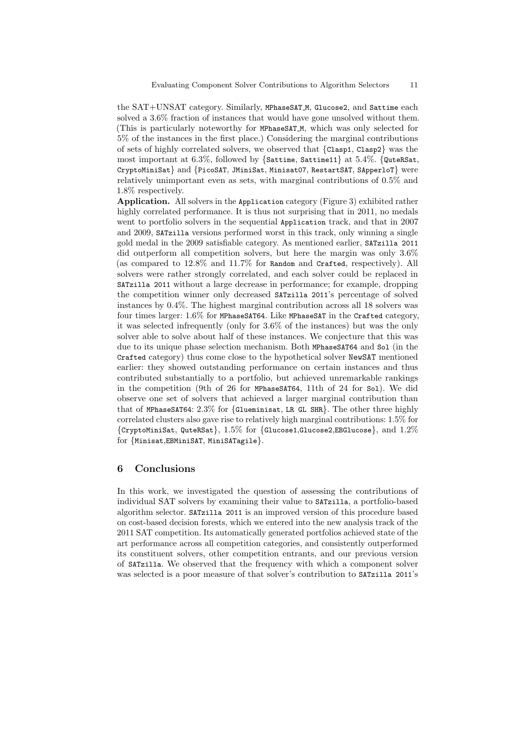the SAT+UNSAT category. Similarly, MPhaseSAT M, Glucose2, and Sattime each solved a 3.6% fraction of instances that would have gone unsolved without them. (This is particularly noteworthy for MPhaseSAT M, which was only selected for 5% of the instances in the first place.) Considering the marginal contributions of sets of highly correlated solvers, we observed that  ${Clasp1, Clasp2}$  was the most important at 6.3%, followed by {Sattime, Sattime11} at 5.4%. {QuteRSat, CryptoMiniSat} and {PicoSAT, JMiniSat, Minisat07, RestartSAT, SApperloT} were relatively unimportant even as sets, with marginal contributions of 0.5% and 1.8% respectively.

Application. All solvers in the Application category (Figure 3) exhibited rather highly correlated performance. It is thus not surprising that in 2011, no medals went to portfolio solvers in the sequential Application track, and that in 2007 and 2009, SATzilla versions performed worst in this track, only winning a single gold medal in the 2009 satisfiable category. As mentioned earlier, SATzilla 2011 did outperform all competition solvers, but here the margin was only 3.6% (as compared to 12.8% and 11.7% for Random and Crafted, respectively). All solvers were rather strongly correlated, and each solver could be replaced in SATzilla 2011 without a large decrease in performance; for example, dropping the competition winner only decreased SATzilla 2011's percentage of solved instances by 0.4%. The highest marginal contribution across all 18 solvers was four times larger: 1.6% for MPhaseSAT64. Like MPhaseSAT in the Crafted category, it was selected infrequently (only for 3.6% of the instances) but was the only solver able to solve about half of these instances. We conjecture that this was due to its unique phase selection mechanism. Both MPhaseSAT64 and Sol (in the Crafted category) thus come close to the hypothetical solver NewSAT mentioned earlier: they showed outstanding performance on certain instances and thus contributed substantially to a portfolio, but achieved unremarkable rankings in the competition (9th of 26 for MPhaseSAT64, 11th of 24 for Sol). We did observe one set of solvers that achieved a larger marginal contribution than that of MPhaseSAT64: 2.3% for {Glueminisat, LR GL SHR}. The other three highly correlated clusters also gave rise to relatively high marginal contributions: 1.5% for {CryptoMiniSat, QuteRSat}, 1.5% for {Glucose1,Glucose2,EBGlucose}, and 1.2% for {Minisat,EBMiniSAT, MiniSATagile}.

### 6 Conclusions

In this work, we investigated the question of assessing the contributions of individual SAT solvers by examining their value to SATzilla, a portfolio-based algorithm selector. SATzilla 2011 is an improved version of this procedure based on cost-based decision forests, which we entered into the new analysis track of the 2011 SAT competition. Its automatically generated portfolios achieved state of the art performance across all competition categories, and consistently outperformed its constituent solvers, other competition entrants, and our previous version of SATzilla. We observed that the frequency with which a component solver was selected is a poor measure of that solver's contribution to SATzilla 2011's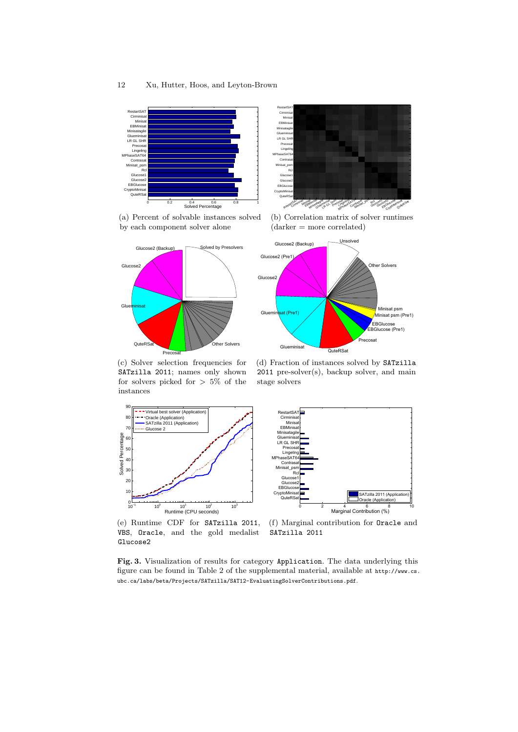

RestartSAT Inisat Minisatagile Glueninisat SHR Contrasat Lamburg Rcl Gelucose Chucose Almisat RestartSAT Cirminisat Minisat EBMinisat Minisatagile **Glueminisat** LR GL SHR Precosat Lingeling MPhaseSAT64 Contrasat Minisat\_psm Glucose1 Glucose2 EBGlucose CryptoMinisat QuteRSat

(a) Percent of solvable instances solved by each component solver alone



(b) Correlation matrix of solver runtimes  $(darker = more correlated)$ 



(c) Solver selection frequencies for SATzilla 2011; names only shown for solvers picked for  $> 5\%$  of the instances

(d) Fraction of instances solved by SATzilla 2011 pre-solver(s), backup solver, and main stage solvers





(e) Runtime CDF for SATzilla 2011, VBS, Oracle, and the gold medalist Glucose2

(f) Marginal contribution for Oracle and SATzilla 2011

Fig. 3. Visualization of results for category Application. The data underlying this figure can be found in Table 2 of the supplemental material, available at http://www.cs. ubc.ca/labs/beta/Projects/SATzilla/SAT12-EvaluatingSolverContributions.pdf.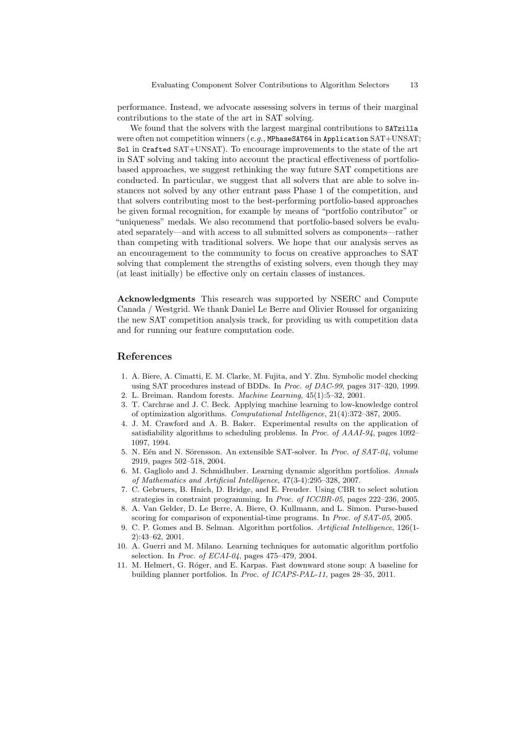performance. Instead, we advocate assessing solvers in terms of their marginal contributions to the state of the art in SAT solving.

We found that the solvers with the largest marginal contributions to SATzilla were often not competition winners (e.g., MPhaseSAT64 in Application SAT+UNSAT; Sol in Crafted SAT+UNSAT). To encourage improvements to the state of the art in SAT solving and taking into account the practical effectiveness of portfoliobased approaches, we suggest rethinking the way future SAT competitions are conducted. In particular, we suggest that all solvers that are able to solve instances not solved by any other entrant pass Phase 1 of the competition, and that solvers contributing most to the best-performing portfolio-based approaches be given formal recognition, for example by means of "portfolio contributor" or "uniqueness" medals. We also recommend that portfolio-based solvers be evaluated separately—and with access to all submitted solvers as components—rather than competing with traditional solvers. We hope that our analysis serves as an encouragement to the community to focus on creative approaches to SAT solving that complement the strengths of existing solvers, even though they may (at least initially) be effective only on certain classes of instances.

Acknowledgments This research was supported by NSERC and Compute Canada / Westgrid. We thank Daniel Le Berre and Olivier Roussel for organizing the new SAT competition analysis track, for providing us with competition data and for running our feature computation code.

# References

- 1. A. Biere, A. Cimatti, E. M. Clarke, M. Fujita, and Y. Zhu. Symbolic model checking using SAT procedures instead of BDDs. In Proc. of DAC-99, pages 317–320, 1999.
- 2. L. Breiman. Random forests. Machine Learning, 45(1):5–32, 2001.
- 3. T. Carchrae and J. C. Beck. Applying machine learning to low-knowledge control of optimization algorithms. Computational Intelligence, 21(4):372–387, 2005.
- 4. J. M. Crawford and A. B. Baker. Experimental results on the application of satisfiability algorithms to scheduling problems. In Proc. of AAAI-94, pages 1092– 1097, 1994.
- 5. N. Eén and N. Sörensson. An extensible SAT-solver. In Proc. of  $SAT-04$ , volume 2919, pages 502–518, 2004.
- 6. M. Gagliolo and J. Schmidhuber. Learning dynamic algorithm portfolios. Annals of Mathematics and Artificial Intelligence, 47(3-4):295–328, 2007.
- 7. C. Gebruers, B. Hnich, D. Bridge, and E. Freuder. Using CBR to select solution strategies in constraint programming. In Proc. of ICCBR-05, pages 222–236, 2005.
- 8. A. Van Gelder, D. Le Berre, A. Biere, O. Kullmann, and L. Simon. Purse-based scoring for comparison of exponential-time programs. In Proc. of SAT-05, 2005.
- 9. C. P. Gomes and B. Selman. Algorithm portfolios. Artificial Intelligence, 126(1- 2):43–62, 2001.
- 10. A. Guerri and M. Milano. Learning techniques for automatic algorithm portfolio selection. In Proc. of ECAI-04, pages  $475-479$ ,  $2004$ .
- 11. M. Helmert, G. Róger, and E. Karpas. Fast downward stone soup: A baseline for building planner portfolios. In Proc. of ICAPS-PAL-11, pages 28–35, 2011.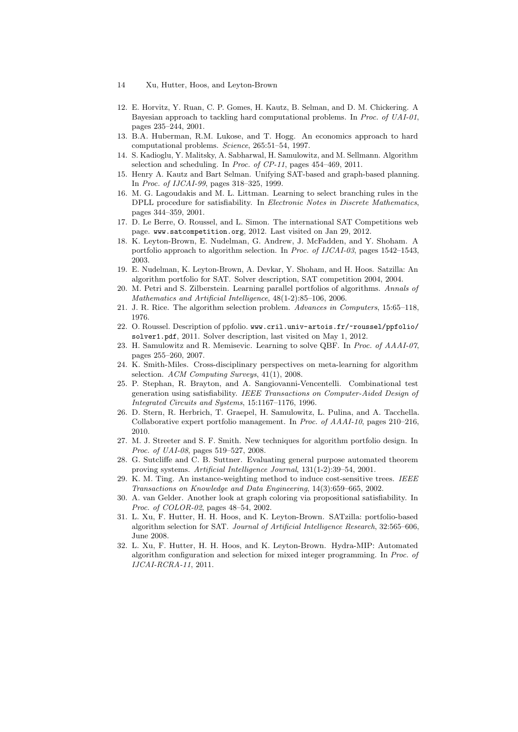- 14 Xu, Hutter, Hoos, and Leyton-Brown
- 12. E. Horvitz, Y. Ruan, C. P. Gomes, H. Kautz, B. Selman, and D. M. Chickering. A Bayesian approach to tackling hard computational problems. In Proc. of UAI-01, pages 235–244, 2001.
- 13. B.A. Huberman, R.M. Lukose, and T. Hogg. An economics approach to hard computational problems. Science, 265:51–54, 1997.
- 14. S. Kadioglu, Y. Malitsky, A. Sabharwal, H. Samulowitz, and M. Sellmann. Algorithm selection and scheduling. In Proc. of CP-11, pages 454–469, 2011.
- 15. Henry A. Kautz and Bart Selman. Unifying SAT-based and graph-based planning. In Proc. of IJCAI-99, pages 318–325, 1999.
- 16. M. G. Lagoudakis and M. L. Littman. Learning to select branching rules in the DPLL procedure for satisfiability. In *Electronic Notes in Discrete Mathematics*, pages 344–359, 2001.
- 17. D. Le Berre, O. Roussel, and L. Simon. The international SAT Competitions web page. www.satcompetition.org, 2012. Last visited on Jan 29, 2012.
- 18. K. Leyton-Brown, E. Nudelman, G. Andrew, J. McFadden, and Y. Shoham. A portfolio approach to algorithm selection. In Proc. of IJCAI-03, pages 1542-1543, 2003.
- 19. E. Nudelman, K. Leyton-Brown, A. Devkar, Y. Shoham, and H. Hoos. Satzilla: An algorithm portfolio for SAT. Solver description, SAT competition 2004, 2004.
- 20. M. Petri and S. Zilberstein. Learning parallel portfolios of algorithms. Annals of Mathematics and Artificial Intelligence, 48(1-2):85–106, 2006.
- 21. J. R. Rice. The algorithm selection problem. Advances in Computers, 15:65–118, 1976.
- 22. O. Roussel. Description of ppfolio. www.cril.univ-artois.fr/~roussel/ppfolio/ solver1.pdf, 2011. Solver description, last visited on May 1, 2012.
- 23. H. Samulowitz and R. Memisevic. Learning to solve QBF. In Proc. of AAAI-07, pages 255–260, 2007.
- 24. K. Smith-Miles. Cross-disciplinary perspectives on meta-learning for algorithm selection. ACM Computing Surveys, 41(1), 2008.
- 25. P. Stephan, R. Brayton, and A. Sangiovanni-Vencentelli. Combinational test generation using satisfiability. IEEE Transactions on Computer-Aided Design of Integrated Circuits and Systems, 15:1167–1176, 1996.
- 26. D. Stern, R. Herbrich, T. Graepel, H. Samulowitz, L. Pulina, and A. Tacchella. Collaborative expert portfolio management. In Proc. of AAAI-10, pages 210–216, 2010.
- 27. M. J. Streeter and S. F. Smith. New techniques for algorithm portfolio design. In Proc. of UAI-08, pages 519–527, 2008.
- 28. G. Sutcliffe and C. B. Suttner. Evaluating general purpose automated theorem proving systems. Artificial Intelligence Journal, 131(1-2):39–54, 2001.
- 29. K. M. Ting. An instance-weighting method to induce cost-sensitive trees. IEEE Transactions on Knowledge and Data Engineering, 14(3):659–665, 2002.
- 30. A. van Gelder. Another look at graph coloring via propositional satisfiability. In Proc. of COLOR-02, pages 48–54, 2002.
- 31. L. Xu, F. Hutter, H. H. Hoos, and K. Leyton-Brown. SATzilla: portfolio-based algorithm selection for SAT. Journal of Artificial Intelligence Research, 32:565–606, June 2008.
- 32. L. Xu, F. Hutter, H. H. Hoos, and K. Leyton-Brown. Hydra-MIP: Automated algorithm configuration and selection for mixed integer programming. In Proc. of IJCAI-RCRA-11, 2011.